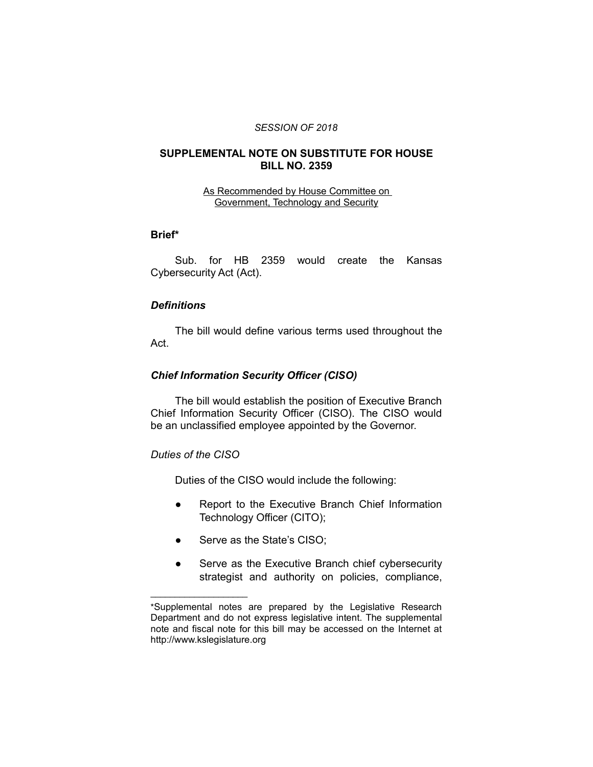#### *SESSION OF 2018*

### **SUPPLEMENTAL NOTE ON SUBSTITUTE FOR HOUSE BILL NO. 2359**

#### As Recommended by House Committee on Government, Technology and Security

### **Brief\***

Sub. for HB 2359 would create the Kansas Cybersecurity Act (Act).

#### *Definitions*

The bill would define various terms used throughout the Act.

#### *Chief Information Security Officer (CISO)*

The bill would establish the position of Executive Branch Chief Information Security Officer (CISO). The CISO would be an unclassified employee appointed by the Governor.

### *Duties of the CISO*

 $\overline{\phantom{a}}$  , where  $\overline{\phantom{a}}$  , where  $\overline{\phantom{a}}$ 

Duties of the CISO would include the following:

- Report to the Executive Branch Chief Information Technology Officer (CITO);
- Serve as the State's CISO;
- Serve as the Executive Branch chief cybersecurity strategist and authority on policies, compliance,

<sup>\*</sup>Supplemental notes are prepared by the Legislative Research Department and do not express legislative intent. The supplemental note and fiscal note for this bill may be accessed on the Internet at http://www.kslegislature.org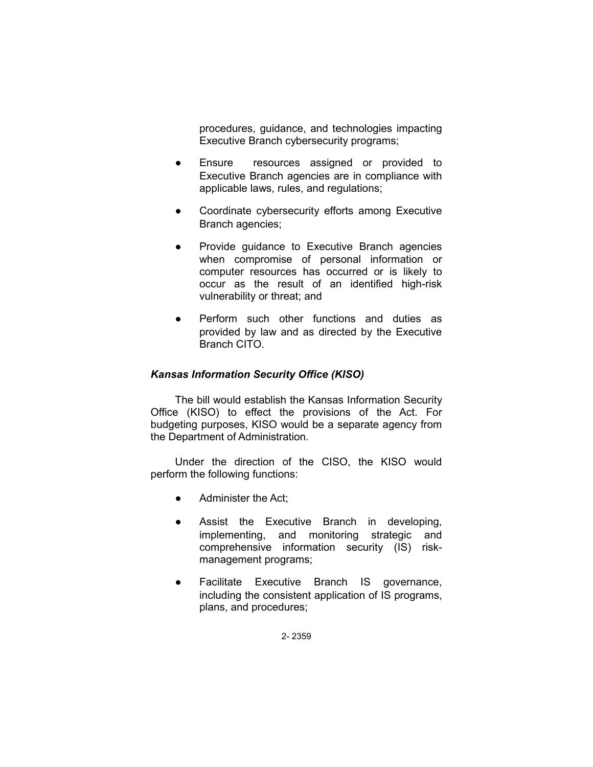procedures, guidance, and technologies impacting Executive Branch cybersecurity programs;

- Ensure resources assigned or provided to Executive Branch agencies are in compliance with applicable laws, rules, and regulations;
- Coordinate cybersecurity efforts among Executive Branch agencies;
- Provide guidance to Executive Branch agencies when compromise of personal information or computer resources has occurred or is likely to occur as the result of an identified high-risk vulnerability or threat; and
- Perform such other functions and duties as provided by law and as directed by the Executive Branch CITO.

## *Kansas Information Security Office (KISO)*

The bill would establish the Kansas Information Security Office (KISO) to effect the provisions of the Act. For budgeting purposes, KISO would be a separate agency from the Department of Administration.

Under the direction of the CISO, the KISO would perform the following functions:

- Administer the Act:
- Assist the Executive Branch in developing, implementing, and monitoring strategic and comprehensive information security (IS) riskmanagement programs;
- Facilitate Executive Branch IS governance, including the consistent application of IS programs, plans, and procedures;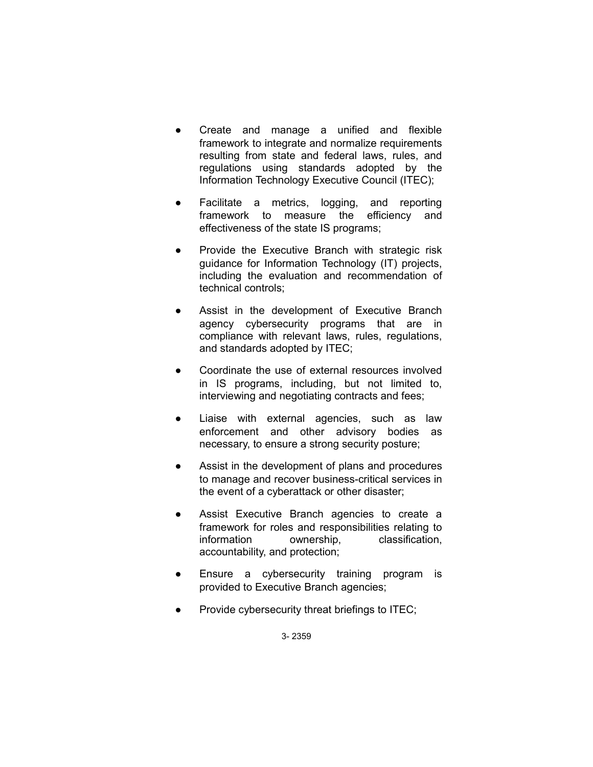- Create and manage a unified and flexible framework to integrate and normalize requirements resulting from state and federal laws, rules, and regulations using standards adopted by the Information Technology Executive Council (ITEC);
- Facilitate a metrics, logging, and reporting framework to measure the efficiency and effectiveness of the state IS programs;
- Provide the Executive Branch with strategic risk guidance for Information Technology (IT) projects, including the evaluation and recommendation of technical controls;
- Assist in the development of Executive Branch agency cybersecurity programs that are in compliance with relevant laws, rules, regulations, and standards adopted by ITEC;
- Coordinate the use of external resources involved in IS programs, including, but not limited to, interviewing and negotiating contracts and fees;
- Liaise with external agencies, such as law enforcement and other advisory bodies as necessary, to ensure a strong security posture;
- Assist in the development of plans and procedures to manage and recover business-critical services in the event of a cyberattack or other disaster;
- Assist Executive Branch agencies to create a framework for roles and responsibilities relating to information ownership, classification, accountability, and protection;
- Ensure a cybersecurity training program is provided to Executive Branch agencies;
- Provide cybersecurity threat briefings to ITEC;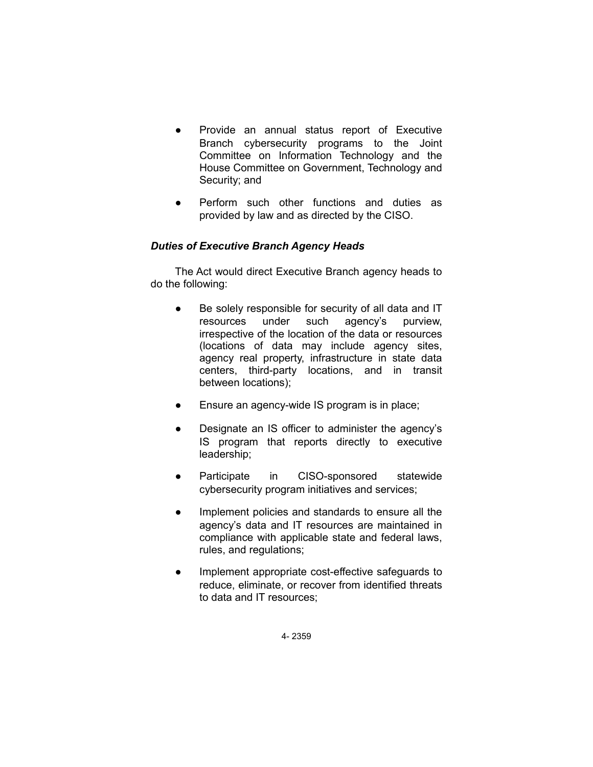- Provide an annual status report of Executive Branch cybersecurity programs to the Joint Committee on Information Technology and the House Committee on Government, Technology and Security; and
- Perform such other functions and duties as provided by law and as directed by the CISO.

# *Duties of Executive Branch Agency Heads*

The Act would direct Executive Branch agency heads to do the following:

- Be solely responsible for security of all data and IT resources under such agency's purview, irrespective of the location of the data or resources (locations of data may include agency sites, agency real property, infrastructure in state data centers, third-party locations, and in transit between locations);
- Ensure an agency-wide IS program is in place;
- Designate an IS officer to administer the agency's IS program that reports directly to executive leadership;
- Participate in CISO-sponsored statewide cybersecurity program initiatives and services;
- Implement policies and standards to ensure all the agency's data and IT resources are maintained in compliance with applicable state and federal laws, rules, and regulations;
- Implement appropriate cost-effective safeguards to reduce, eliminate, or recover from identified threats to data and IT resources;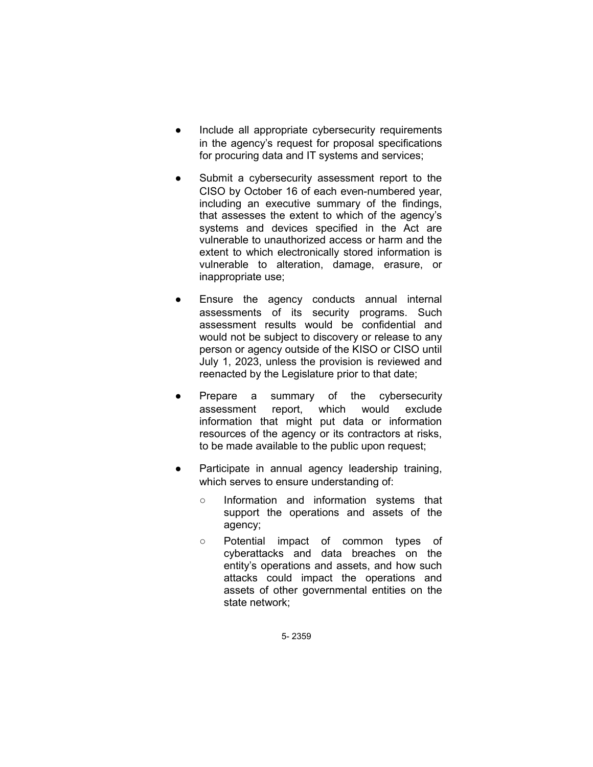- Include all appropriate cybersecurity requirements in the agency's request for proposal specifications for procuring data and IT systems and services;
- Submit a cybersecurity assessment report to the CISO by October 16 of each even-numbered year, including an executive summary of the findings, that assesses the extent to which of the agency's systems and devices specified in the Act are vulnerable to unauthorized access or harm and the extent to which electronically stored information is vulnerable to alteration, damage, erasure, or inappropriate use;
- Ensure the agency conducts annual internal assessments of its security programs. Such assessment results would be confidential and would not be subject to discovery or release to any person or agency outside of the KISO or CISO until July 1, 2023, unless the provision is reviewed and reenacted by the Legislature prior to that date;
- Prepare a summary of the cybersecurity assessment report, which would exclude information that might put data or information resources of the agency or its contractors at risks, to be made available to the public upon request;
- Participate in annual agency leadership training, which serves to ensure understanding of:
	- Information and information systems that support the operations and assets of the agency;
	- Potential impact of common types of cyberattacks and data breaches on the entity's operations and assets, and how such attacks could impact the operations and assets of other governmental entities on the state network;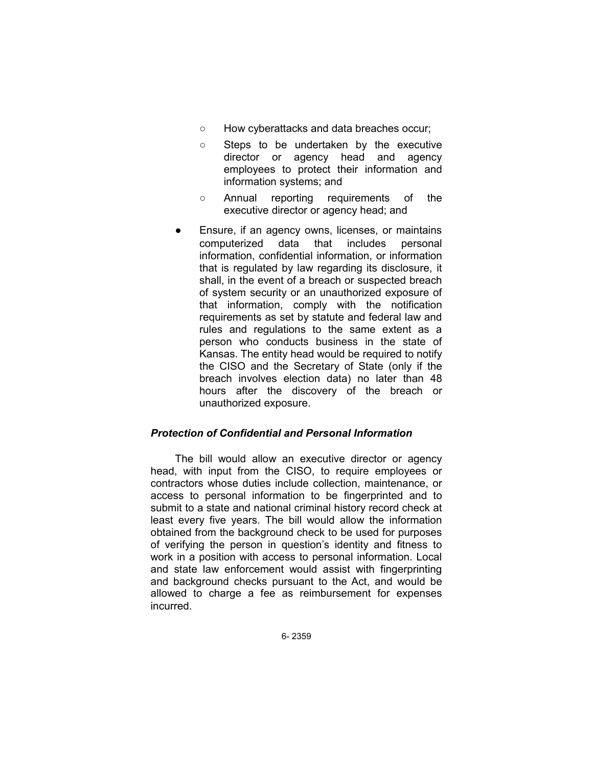- How cyberattacks and data breaches occur;
- Steps to be undertaken by the executive director or agency head and agency employees to protect their information and information systems; and
- Annual reporting requirements of the executive director or agency head; and
- Ensure, if an agency owns, licenses, or maintains computerized data that includes personal information, confidential information, or information that is regulated by law regarding its disclosure, it shall, in the event of a breach or suspected breach of system security or an unauthorized exposure of that information, comply with the notification requirements as set by statute and federal law and rules and regulations to the same extent as a person who conducts business in the state of Kansas. The entity head would be required to notify the CISO and the Secretary of State (only if the breach involves election data) no later than 48 hours after the discovery of the breach or unauthorized exposure.

#### *Protection of Confidential and Personal Information*

The bill would allow an executive director or agency head, with input from the CISO, to require employees or contractors whose duties include collection, maintenance, or access to personal information to be fingerprinted and to submit to a state and national criminal history record check at least every five years. The bill would allow the information obtained from the background check to be used for purposes of verifying the person in question's identity and fitness to work in a position with access to personal information. Local and state law enforcement would assist with fingerprinting and background checks pursuant to the Act, and would be allowed to charge a fee as reimbursement for expenses incurred.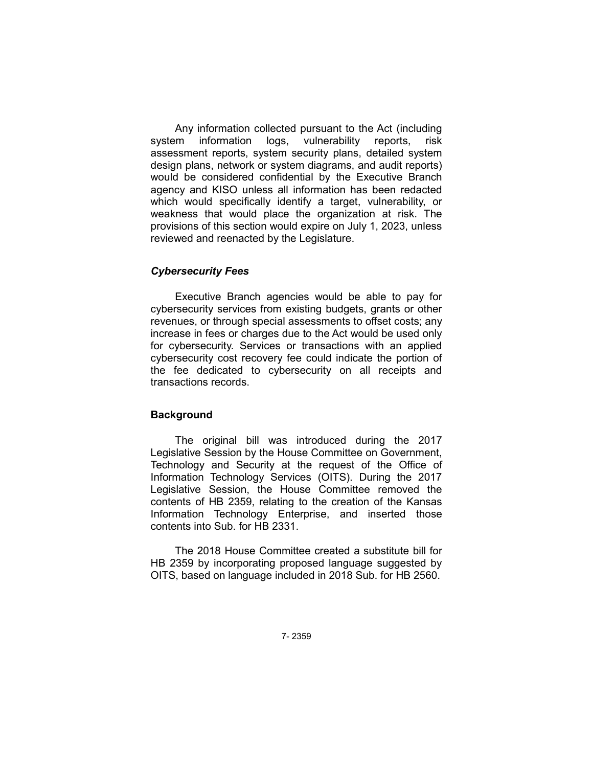Any information collected pursuant to the Act (including system information logs, vulnerability reports, risk assessment reports, system security plans, detailed system design plans, network or system diagrams, and audit reports) would be considered confidential by the Executive Branch agency and KISO unless all information has been redacted which would specifically identify a target, vulnerability, or weakness that would place the organization at risk. The provisions of this section would expire on July 1, 2023, unless reviewed and reenacted by the Legislature.

#### *Cybersecurity Fees*

Executive Branch agencies would be able to pay for cybersecurity services from existing budgets, grants or other revenues, or through special assessments to offset costs; any increase in fees or charges due to the Act would be used only for cybersecurity. Services or transactions with an applied cybersecurity cost recovery fee could indicate the portion of the fee dedicated to cybersecurity on all receipts and transactions records.

### **Background**

The original bill was introduced during the 2017 Legislative Session by the House Committee on Government, Technology and Security at the request of the Office of Information Technology Services (OITS). During the 2017 Legislative Session, the House Committee removed the contents of HB 2359, relating to the creation of the Kansas Information Technology Enterprise, and inserted those contents into Sub. for HB 2331.

The 2018 House Committee created a substitute bill for HB 2359 by incorporating proposed language suggested by OITS, based on language included in 2018 Sub. for HB 2560.